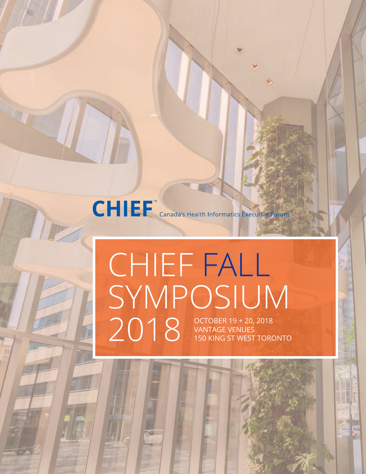

# CHIEF FALL SYMPOSIUM  $2018$  OCTOBER 19 + 20, 2018<br>
2018 VANTAGE VENUES<br>
150 KING ST WEST TOR VANTAGE VENUES 150 KING ST WEST TORONTO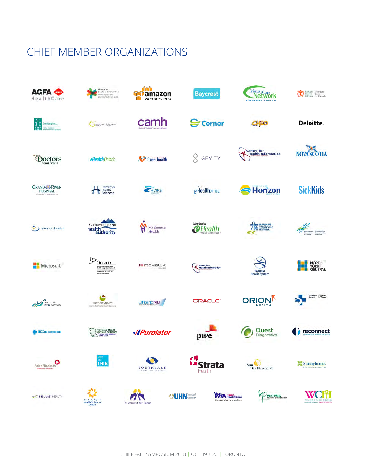## CHIEF MEMBER ORGANIZATIONS

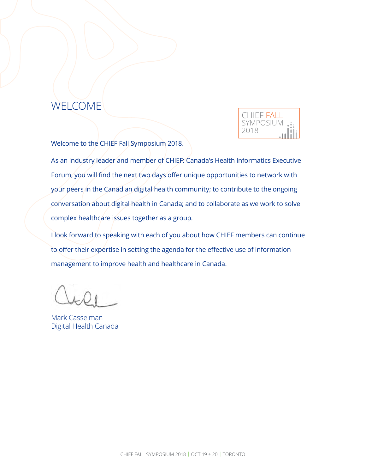## WELCOME



Welcome to the CHIEF Fall Symposium 2018.

As an industry leader and member of CHIEF: Canada's Health Informatics Executive Forum, you will find the next two days offer unique opportunities to network with your peers in the Canadian digital health community; to contribute to the ongoing conversation about digital health in Canada; and to collaborate as we work to solve complex healthcare issues together as a group.

I look forward to speaking with each of you about how CHIEF members can continue to offer their expertise in setting the agenda for the effective use of information management to improve health and healthcare in Canada.

Mark Casselman Digital Health Canada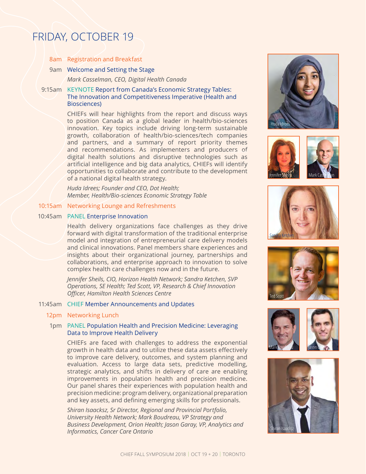## FRIDAY, OCTOBER 19

8am Registration and Breakfast

### 9am Welcome and Setting the Stage

*Mark Casselman, CEO, Digital Health Canada*

## 9:15am KEYNOTE Report from Canada's Economic Strategy Tables: The Innovation and Competitiveness Imperative (Health and Biosciences)

CHIEFs will hear highlights from the report and discuss ways to position Canada as a global leader in health/bio-sciences innovation. Key topics include driving long-term sustainable growth, collaboration of health/bio-sciences/tech companies and partners, and a summary of report priority themes and recommendations. As implementers and producers of digital health solutions and disruptive technologies such as artificial intelligence and big data analytics, CHIEFs will identify opportunities to collaborate and contribute to the development of a national digital health strategy.

*Huda Idrees; Founder and CEO, Dot Health; Member, Health/Bio-sciences Economic Strategy Table* 

### 10:15am Networking Lounge and Refreshments

### 10:45am PANEL Enterprise Innovation

Health delivery organizations face challenges as they drive forward with digital transformation of the traditional enterprise model and integration of entrepreneurial care delivery models and clinical innovations. Panel members share experiences and insights about their organizational journey, partnerships and collaborations, and enterprise approach to innovation to solve complex health care challenges now and in the future.

*Jennifer Sheils, CIO, Horizon Health Network; Sandra Ketchen, SVP Operations, SE Health; Ted Scott, VP, Research & Chief Innovation Officer, Hamilton Health Sciences Centre*

## 11:45am CHIEF Member Announcements and Updates

#### 12pm Networking Lunch

## 1pm PANEL Population Health and Precision Medicine: Leveraging Data to Improve Health Delivery

CHIEFs are faced with challenges to address the exponential growth in health data and to utilize these data assets effectively to improve care delivery, outcomes, and system planning and evaluation. Access to large data sets, predictive modelling, strategic analytics, and shifts in delivery of care are enabling improvements in population health and precision medicine. Our panel shares their experiences with population health and precision medicine: program delivery, organizational preparation and key assets, and defining emerging skills for professionals.

*Shiran Isaacksz, Sr Director, Regional and Provincial Portfolio, University Health Network; Mark Boudreau, VP Strategy and Business Development, Orion Health; Jason Garay, VP, Analytics and Informatics, Cancer Care Ontario*











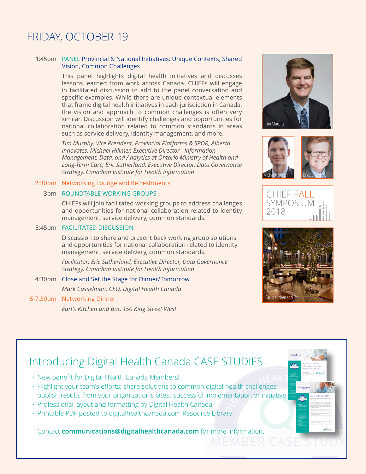## FRIDAY, OCTOBER 19

## 1:45pm PANEL Provincial & National Initiatives: Unique Contexts, Shared Vision, Common Challenges

This panel highlights digital health initiatives and discusses lessons learned from work across Canada. CHIEFs will engage in facilitated discussion to add to the panel conversation and specific examples. While there are unique contextual elements that frame digital health initiatives in each jurisdiction in Canada, the vision and approach to common challenges is often very similar. Discussion will identify challenges and opportunities for national collaboration related to common standards in areas such as service delivery, identity management, and more.

*Tim Murphy, Vice President, Provincial Platforms & SPOR, Alberta Innovates; Michael Hillmer, Executive Director - Information Management, Data, and Analytics at Ontario Ministry of Health and Long-Term Care; Eric Sutherland, Executive Director, Data Governance Strategy, Canadian Institute for Health Information*

## 2:30pm Networking Lounge and Refreshments

## 3pm ROUNDTABLE WORKING GROUPS

CHIEFs will join facilitated working groups to address challenges and opportunities for national collaboration related to identity management, service delivery, common standards.

## 3:45pm FACILITATED DISCUSSION

Discussion to share and present back working group solutions and opportunities for national collaboration related to identity management, service delivery, common standards.

*Facilitator: Eric Sutherland, Executive Director, Data Governance Strategy, Canadian Institute for Health Information*

4:30pm Close and Set the Stage for Dinner/Tomorrow *Mark Casselman, CEO, Digital Health Canada*

## 5-7:30pm Networking Dinner

*Earl's Kitchen and Bar, 150 King Street West*









screening opportunities New Cancer Status Report is put on provincial portal so that screening status is available in seconds Christine Couturier, MA Leadership (Health), CPHIMS-CA Clinical Design Lead, Alberta Cancer Prevention Legacy Fund

In Alberta, a clinician can spend 10 minutes or more per patient to identify whether or not that patient is due for cancer screening or requires for cancer screening or requires for requires up for any one of the three provincially-organized programs (Alberta Breast Cancer Screening Program, Alberta Cervical Cancer Screening Program and the Alberta Colorectal Cancer Screening Program). This requires looking up and individually past screening results for each of the theoretical contracts for each of the three types of cancer, when they were last screened – or even if they were screened. Next, the Alberta Clinical Practice Guidelines have to be consulted – these guidelines provide evidence-based guidance to help the clinician determine the most appropriate screening action. Then, based on all of this information and the individual's demographics, the clinician can determine whether or not to fill out that mammogram requisition, or proceed with that Pap smear, or send out that referral to a specialist. With just over 2 million Albertans who fit into the target populations at any given time, that amounts to 38 years of clinician and staff effort spent on simply identifying what to do about screening their patients!

More than a Registry Effecting Practice Change **<sup>Ζ</sup><sup>Q</sup><sup>V</sup><sup>S</sup><sup>L</sup><sup>U</sup><sup>H</sup> <sup>ȏ</sup>&<sup>R</sup><sup>Q</sup>Q<sup>H</sup><sup>F</sup><sup>W</sup> <sup>ȏ</sup> (<sup>G</sup><sup>X</sup><sup>F</sup><sup>D</sup><sup>W</sup><sup>H</sup>**

Putting Actionable Information into the Hands of Clinicians **<sup>Ζ</sup><sup>Q</sup><sup>V</sup><sup>S</sup><sup>L</sup><sup>U</sup><sup>H</sup> <sup>ȏ</sup> &<sup>R</sup><sup>Q</sup>Q<sup>H</sup><sup>F</sup><sup>W</sup> <sup>ȏ</sup>(<sup>G</sup><sup>X</sup><sup>F</sup><sup>D</sup><sup>W</sup><sup>H</sup>**

## Introducing Digital Health Canada CASE STUDIES

- New benefit for Digital Health Canada Members!
- Highlight your team's efforts; share solutions to common digital health challenges; publish results from your organization's latest successful implementation or initiative
- Professional layout and formatting by Digital Health Canada
- Printable PDF posted to digitalhealthcanada.com Resource Library

Contact **communications@digitalhealthcanada.com** for more information.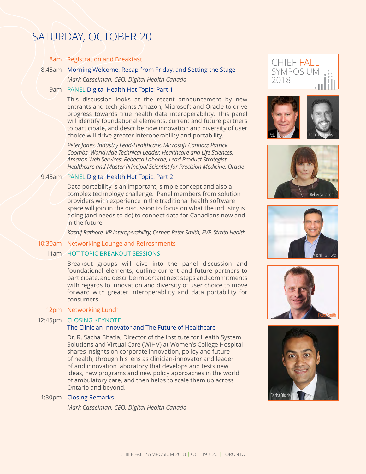## SATURDAY, OCTOBER 20

### 8am Registration and Breakfast

## 8:45am Morning Welcome, Recap from Friday, and Setting the Stage

*Mark Casselman, CEO, Digital Health Canada*

## 9am PANEL Digital Health Hot Topic: Part 1

This discussion looks at the recent announcement by new entrants and tech giants Amazon, Microsoft and Oracle to drive progress towards true health data interoperability. This panel will identify foundational elements, current and future partners to participate, and describe how innovation and diversity of user choice will drive greater interoperability and portability.

*Peter Jones, Industry Lead-Healthcare, Microsoft Canada; Patrick Coombs, Worldwide Technical Leader, Healthcare and Life Sciences, Amazon Web Services; Rebecca Laborde, Lead Product Strategist Healthcare and Master Principal Scientist for Precision Medicine, Oracle*

## 9:45am PANEL Digital Health Hot Topic: Part 2

Data portability is an important, simple concept and also a complex technology challenge. Panel members from solution providers with experience in the traditional health software space will join in the discussion to focus on what the industry is doing (and needs to do) to connect data for Canadians now and in the future.

*Kashif Rathore, VP Interoperability, Cerner; Peter Smith, EVP, Strata Health*

## 10:30am Networking Lounge and Refreshments

## 11am HOT TOPIC BREAKOUT SESSIONS

Breakout groups will dive into the panel discussion and foundational elements, outline current and future partners to participate, and describe important next steps and commitments with regards to innovation and diversity of user choice to move forward with greater interoperabliity and data portability for consumers.

### 12pm Networking Lunch

### 12:45pm CLOSING KEYNOTE

## The Clinician Innovator and The Future of Healthcare

Dr. R. Sacha Bhatia, Director of the Institute for Health System Solutions and Virtual Care (WIHV) at Women's College Hospital shares insights on corporate innovation, policy and future of health, through his lens as clinician-innovator and leader of and innovation laboratory that develops and tests new ideas, new programs and new policy approaches in the world of ambulatory care, and then helps to scale them up across Ontario and beyond.

## 1:30pm Closing Remarks

*Mark Casselman, CEO, Digital Health Canada*











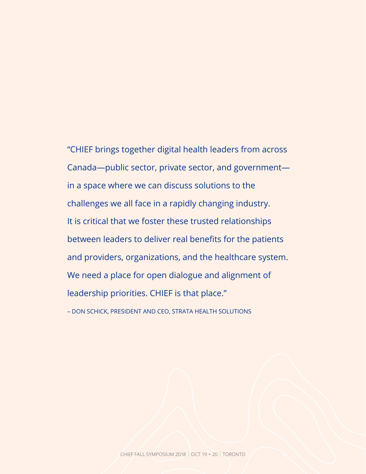# "CHIEF brings together digital health leaders from across Canada—public sector, private sector, and government in a space where we can discuss solutions to the challenges we all face in a rapidly changing industry. It is critical that we foster these trusted relationships between leaders to deliver real benefits for the patients and providers, organizations, and the healthcare system.

We need a place for open dialogue and alignment of

leadership priorities. CHIEF is that place."

– DON SCHICK, PRESIDENT AND CEO, STRATA HEALTH SOLUTIONS